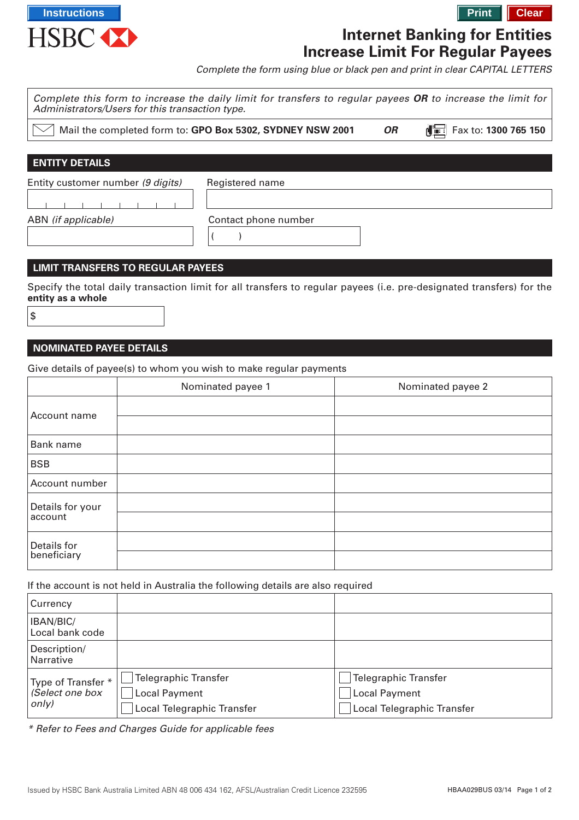

# **Internet Banking for Entities Increase Limit For Regular Payees**

Complete the form using blue or black pen and print in clear CAPITAL LETTERS

| Administrators/Users for this transaction type. | Complete this form to increase the daily limit for transfers to regular payees OR to increase the limit for |           |                                 |
|-------------------------------------------------|-------------------------------------------------------------------------------------------------------------|-----------|---------------------------------|
|                                                 | Mail the completed form to: GPO Box 5302, SYDNEY NSW 2001                                                   | <b>OR</b> | Fax to: 1300 765 150<br>di in L |
|                                                 |                                                                                                             |           |                                 |
| <b>ENTITY DETAILS</b>                           |                                                                                                             |           |                                 |
| Entity customer number (9 digits)               | Registered name                                                                                             |           |                                 |
|                                                 |                                                                                                             |           |                                 |
| ABN (if applicable)                             | Contact phone number                                                                                        |           |                                 |
|                                                 |                                                                                                             |           |                                 |
|                                                 |                                                                                                             |           |                                 |

#### **LIMIT TRANSFERS TO REGULAR PAYEES**

Specify the total daily transaction limit for all transfers to regular payees (i.e. pre-designated transfers) for the **entity as a whole**

|           | ٠      |
|-----------|--------|
| ×<br>n sa |        |
|           | I<br>ł |
| ×         | ٠<br>٠ |

#### **NOMINATED PAYEE DETAILS**

Give details of payee(s) to whom you wish to make regular payments

|                  | Nominated payee 1 | Nominated payee 2 |
|------------------|-------------------|-------------------|
| Account name     |                   |                   |
|                  |                   |                   |
| Bank name        |                   |                   |
| <b>BSB</b>       |                   |                   |
| Account number   |                   |                   |
| Details for your |                   |                   |
| account          |                   |                   |
| Details for      |                   |                   |
| beneficiary      |                   |                   |

#### If the account is not held in Australia the following details are also required

| Currency                                       |                                                                                   |                                                                                   |
|------------------------------------------------|-----------------------------------------------------------------------------------|-----------------------------------------------------------------------------------|
| IBAN/BIC/<br>Local bank code                   |                                                                                   |                                                                                   |
| Description/<br><b>Narrative</b>               |                                                                                   |                                                                                   |
| Type of Transfer *<br>(Select one box<br>only) | <b>Telegraphic Transfer</b><br><b>Local Payment</b><br>Local Telegraphic Transfer | <b>Telegraphic Transfer</b><br><b>Local Payment</b><br>Local Telegraphic Transfer |

\* Refer to Fees and Charges Guide for applicable fees